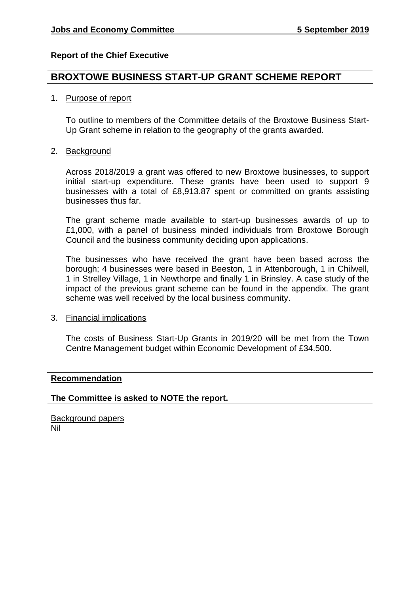# **Report of the Chief Executive**

# **BROXTOWE BUSINESS START-UP GRANT SCHEME REPORT**

# 1. Purpose of report

To outline to members of the Committee details of the Broxtowe Business Start-Up Grant scheme in relation to the geography of the grants awarded.

## 2. Background

Across 2018/2019 a grant was offered to new Broxtowe businesses, to support initial start-up expenditure. These grants have been used to support 9 businesses with a total of £8,913.87 spent or committed on grants assisting businesses thus far.

The grant scheme made available to start-up businesses awards of up to £1,000, with a panel of business minded individuals from Broxtowe Borough Council and the business community deciding upon applications.

The businesses who have received the grant have been based across the borough; 4 businesses were based in Beeston, 1 in Attenborough, 1 in Chilwell, 1 in Strelley Village, 1 in Newthorpe and finally 1 in Brinsley. A case study of the impact of the previous grant scheme can be found in the appendix. The grant scheme was well received by the local business community.

## 3. Financial implications

The costs of Business Start-Up Grants in 2019/20 will be met from the Town Centre Management budget within Economic Development of £34.500.

## **Recommendation**

**The Committee is asked to NOTE the report.** 

**Background papers** Nil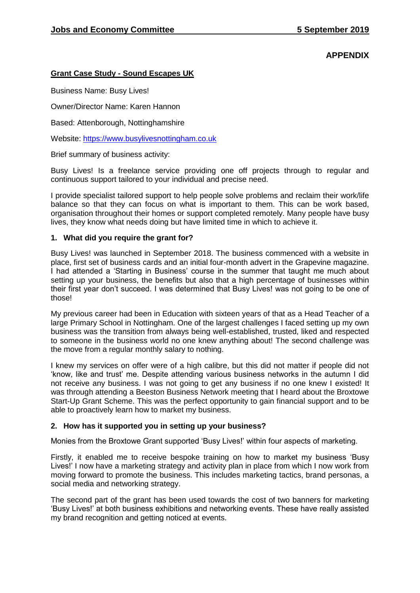# **APPENDIX**

#### **Grant Case Study - Sound Escapes UK**

Business Name: Busy Lives!

Owner/Director Name: Karen Hannon

Based: Attenborough, Nottinghamshire

Website: [https://www.busylivesnottingham.co.uk](https://www.busylivesnottingham.co.uk/)

Brief summary of business activity:

Busy Lives! Is a freelance service providing one off projects through to regular and continuous support tailored to your individual and precise need.

I provide specialist tailored support to help people solve problems and reclaim their work/life balance so that they can focus on what is important to them. This can be work based, organisation throughout their homes or support completed remotely. Many people have busy lives, they know what needs doing but have limited time in which to achieve it.

#### **1. What did you require the grant for?**

Busy Lives! was launched in September 2018. The business commenced with a website in place, first set of business cards and an initial four-month advert in the Grapevine magazine. I had attended a 'Starting in Business' course in the summer that taught me much about setting up your business, the benefits but also that a high percentage of businesses within their first year don't succeed. I was determined that Busy Lives! was not going to be one of those!

My previous career had been in Education with sixteen years of that as a Head Teacher of a large Primary School in Nottingham. One of the largest challenges I faced setting up my own business was the transition from always being well-established, trusted, liked and respected to someone in the business world no one knew anything about! The second challenge was the move from a regular monthly salary to nothing.

I knew my services on offer were of a high calibre, but this did not matter if people did not 'know, like and trust' me. Despite attending various business networks in the autumn I did not receive any business. I was not going to get any business if no one knew I existed! It was through attending a Beeston Business Network meeting that I heard about the Broxtowe Start-Up Grant Scheme. This was the perfect opportunity to gain financial support and to be able to proactively learn how to market my business.

## **2. How has it supported you in setting up your business?**

Monies from the Broxtowe Grant supported 'Busy Lives!' within four aspects of marketing.

Firstly, it enabled me to receive bespoke training on how to market my business 'Busy Lives!' I now have a marketing strategy and activity plan in place from which I now work from moving forward to promote the business. This includes marketing tactics, brand personas, a social media and networking strategy.

The second part of the grant has been used towards the cost of two banners for marketing 'Busy Lives!' at both business exhibitions and networking events. These have really assisted my brand recognition and getting noticed at events.